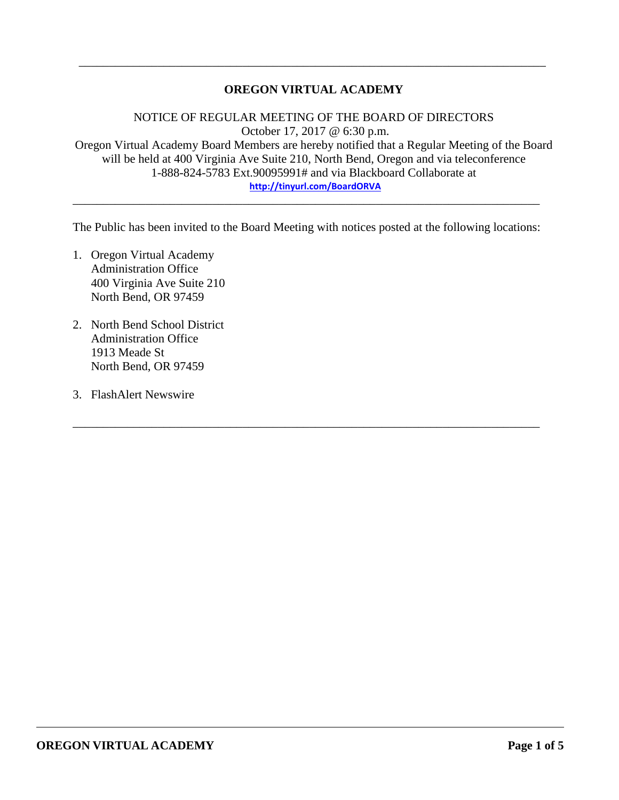## **OREGON VIRTUAL ACADEMY**

\_\_\_\_\_\_\_\_\_\_\_\_\_\_\_\_\_\_\_\_\_\_\_\_\_\_\_\_\_\_\_\_\_\_\_\_\_\_\_\_\_\_\_\_\_\_\_\_\_\_\_\_\_\_\_\_\_\_\_\_\_\_\_\_\_\_\_\_\_\_\_\_\_\_\_\_\_

NOTICE OF REGULAR MEETING OF THE BOARD OF DIRECTORS October 17, 2017 @ 6:30 p.m. Oregon Virtual Academy Board Members are hereby notified that a Regular Meeting of the Board will be held at 400 Virginia Ave Suite 210, North Bend, Oregon and via teleconference 1-888-824-5783 Ext.90095991# and via Blackboard Collaborate at **<http://tinyurl.com/BoardORVA>**

The Public has been invited to the Board Meeting with notices posted at the following locations:

\_\_\_\_\_\_\_\_\_\_\_\_\_\_\_\_\_\_\_\_\_\_\_\_\_\_\_\_\_\_\_\_\_\_\_\_\_\_\_\_\_\_\_\_\_\_\_\_\_\_\_\_\_\_\_\_\_\_\_\_\_\_\_\_\_\_\_\_\_\_\_\_\_\_\_\_\_

\_\_\_\_\_\_\_\_\_\_\_\_\_\_\_\_\_\_\_\_\_\_\_\_\_\_\_\_\_\_\_\_\_\_\_\_\_\_\_\_\_\_\_\_\_\_\_\_\_\_\_\_\_\_\_\_\_\_\_\_\_\_\_\_\_\_\_\_\_\_\_\_\_\_\_\_\_

- 1. Oregon Virtual Academy Administration Office 400 Virginia Ave Suite 210 North Bend, OR 97459
- 2. North Bend School District Administration Office 1913 Meade St North Bend, OR 97459
- 3. FlashAlert Newswire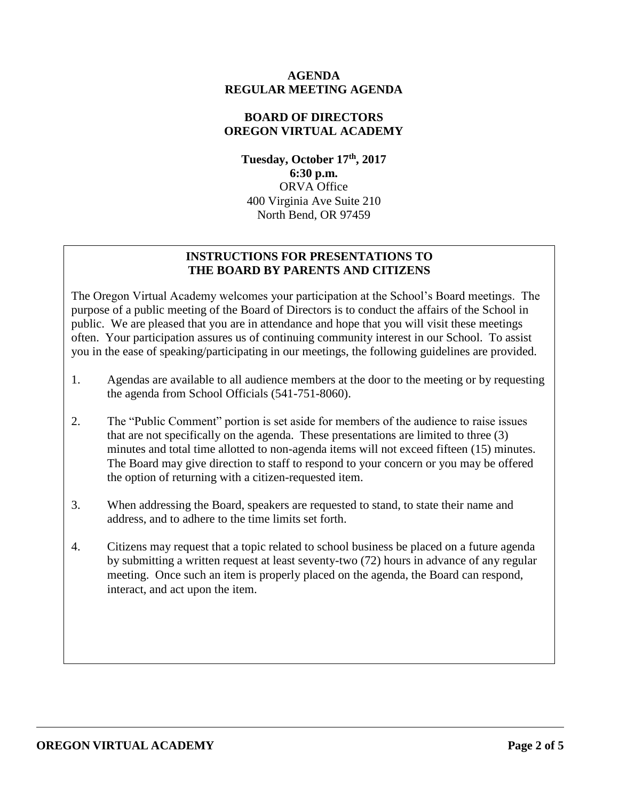### **AGENDA REGULAR MEETING AGENDA**

# **BOARD OF DIRECTORS OREGON VIRTUAL ACADEMY**

**Tuesday, October 17th , 2017 6:30 p.m.** ORVA Office 400 Virginia Ave Suite 210 North Bend, OR 97459

# **INSTRUCTIONS FOR PRESENTATIONS TO THE BOARD BY PARENTS AND CITIZENS**

The Oregon Virtual Academy welcomes your participation at the School's Board meetings. The purpose of a public meeting of the Board of Directors is to conduct the affairs of the School in public. We are pleased that you are in attendance and hope that you will visit these meetings often. Your participation assures us of continuing community interest in our School. To assist you in the ease of speaking/participating in our meetings, the following guidelines are provided.

- 1. Agendas are available to all audience members at the door to the meeting or by requesting the agenda from School Officials (541-751-8060).
- 2. The "Public Comment" portion is set aside for members of the audience to raise issues that are not specifically on the agenda. These presentations are limited to three (3) minutes and total time allotted to non-agenda items will not exceed fifteen (15) minutes. The Board may give direction to staff to respond to your concern or you may be offered the option of returning with a citizen-requested item.
- 3. When addressing the Board, speakers are requested to stand, to state their name and address, and to adhere to the time limits set forth.
- 4. Citizens may request that a topic related to school business be placed on a future agenda by submitting a written request at least seventy-two (72) hours in advance of any regular meeting. Once such an item is properly placed on the agenda, the Board can respond, interact, and act upon the item.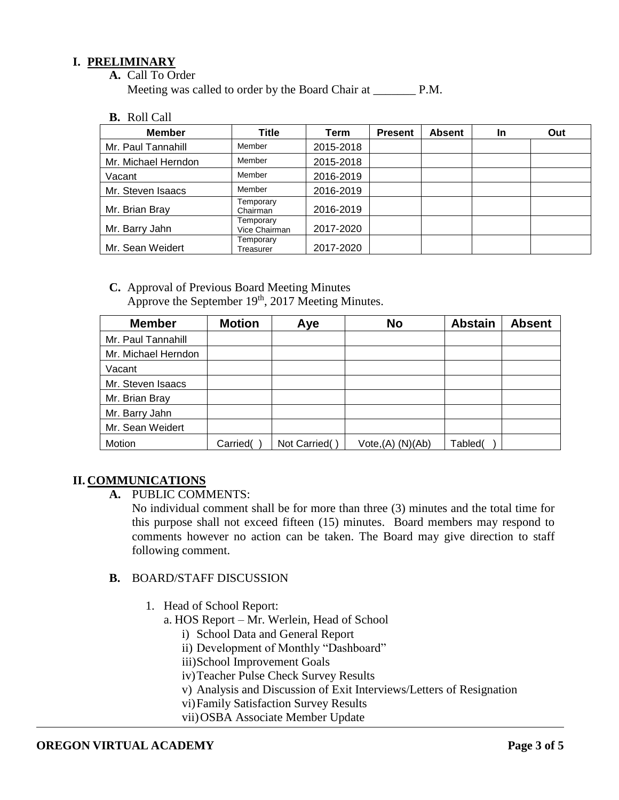## **I. PRELIMINARY**

**A.** Call To Order

Meeting was called to order by the Board Chair at P.M.

**B.** Roll Call

| <b>Member</b>       | Title                      | Term      | <b>Present</b> | <b>Absent</b> | In | Out |
|---------------------|----------------------------|-----------|----------------|---------------|----|-----|
| Mr. Paul Tannahill  | Member                     | 2015-2018 |                |               |    |     |
| Mr. Michael Herndon | Member                     | 2015-2018 |                |               |    |     |
| Vacant              | Member                     | 2016-2019 |                |               |    |     |
| Mr. Steven Isaacs   | Member                     | 2016-2019 |                |               |    |     |
| Mr. Brian Bray      | Temporary<br>Chairman      | 2016-2019 |                |               |    |     |
| Mr. Barry Jahn      | Temporary<br>Vice Chairman | 2017-2020 |                |               |    |     |
| Mr. Sean Weidert    | Temporary<br>Treasurer     | 2017-2020 |                |               |    |     |

**C.** Approval of Previous Board Meeting Minutes Approve the September  $19<sup>th</sup>$ , 2017 Meeting Minutes.

| <b>Member</b>       | <b>Motion</b> | Aye           | <b>No</b>                     | <b>Abstain</b> | <b>Absent</b> |
|---------------------|---------------|---------------|-------------------------------|----------------|---------------|
| Mr. Paul Tannahill  |               |               |                               |                |               |
| Mr. Michael Herndon |               |               |                               |                |               |
| Vacant              |               |               |                               |                |               |
| Mr. Steven Isaacs   |               |               |                               |                |               |
| Mr. Brian Bray      |               |               |                               |                |               |
| Mr. Barry Jahn      |               |               |                               |                |               |
| Mr. Sean Weidert    |               |               |                               |                |               |
| Motion              | Carried(      | Not Carried() | Vote <sub>1</sub> (A) (N)(Ab) | Tabled(        |               |

# **II. COMMUNICATIONS**

**A.** PUBLIC COMMENTS:

No individual comment shall be for more than three (3) minutes and the total time for this purpose shall not exceed fifteen (15) minutes. Board members may respond to comments however no action can be taken. The Board may give direction to staff following comment.

# **B.** BOARD/STAFF DISCUSSION

- 1. Head of School Report:
	- a. HOS Report Mr. Werlein, Head of School
		- i) School Data and General Report
		- ii) Development of Monthly "Dashboard"
		- iii)School Improvement Goals
		- iv)Teacher Pulse Check Survey Results
		- v) Analysis and Discussion of Exit Interviews/Letters of Resignation
		- vi)Family Satisfaction Survey Results
		- vii)OSBA Associate Member Update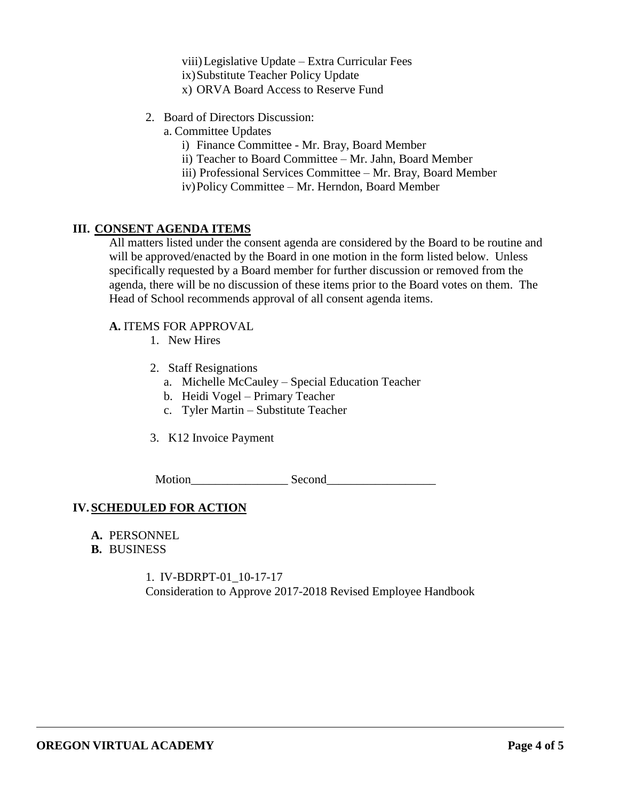viii)Legislative Update – Extra Curricular Fees ix)Substitute Teacher Policy Update x) ORVA Board Access to Reserve Fund

- 2. Board of Directors Discussion:
	- a. Committee Updates
		- i) Finance Committee Mr. Bray, Board Member
		- ii) Teacher to Board Committee Mr. Jahn, Board Member
		- iii) Professional Services Committee Mr. Bray, Board Member
		- iv)Policy Committee Mr. Herndon, Board Member

### **III. CONSENT AGENDA ITEMS**

All matters listed under the consent agenda are considered by the Board to be routine and will be approved/enacted by the Board in one motion in the form listed below. Unless specifically requested by a Board member for further discussion or removed from the agenda, there will be no discussion of these items prior to the Board votes on them. The Head of School recommends approval of all consent agenda items.

#### **A.** ITEMS FOR APPROVAL

- 1. New Hires
- 2. Staff Resignations
	- a. Michelle McCauley Special Education Teacher
	- b. Heidi Vogel Primary Teacher
	- c. Tyler Martin Substitute Teacher
- 3. K12 Invoice Payment

Motion Second

### **IV.SCHEDULED FOR ACTION**

- **A.** PERSONNEL
- **B.** BUSINESS

1. IV-BDRPT-01\_10-17-17 Consideration to Approve 2017-2018 Revised Employee Handbook